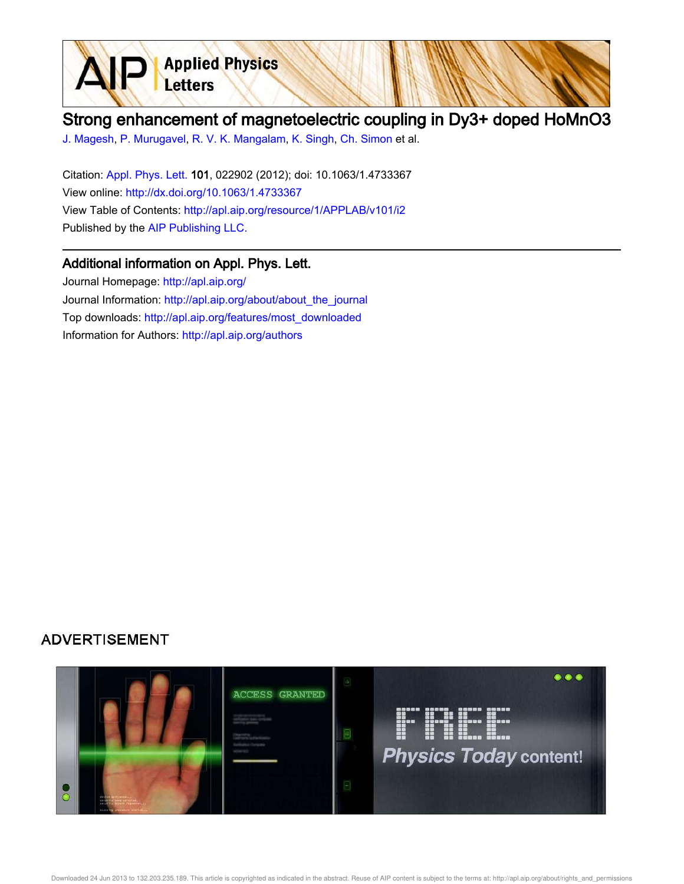

## Strong enhancement of magnetoelectric coupling in Dy3+ doped HoMnO3

J. Magesh, P. Murugavel, R. V. K. Mangalam, K. Singh, Ch. Simon et al.

Citation: Appl. Phys. Lett. 101, 022902 (2012); doi: 10.1063/1.4733367 View online: http://dx.doi.org/10.1063/1.4733367 View Table of Contents: http://apl.aip.org/resource/1/APPLAB/v101/i2 Published by the AIP Publishing LLC.

## Additional information on Appl. Phys. Lett.

Journal Homepage: http://apl.aip.org/ Journal Information: http://apl.aip.org/about/about\_the\_journal Top downloads: http://apl.aip.org/features/most\_downloaded Information for Authors: http://apl.aip.org/authors

## **ADVERTISEMENT**

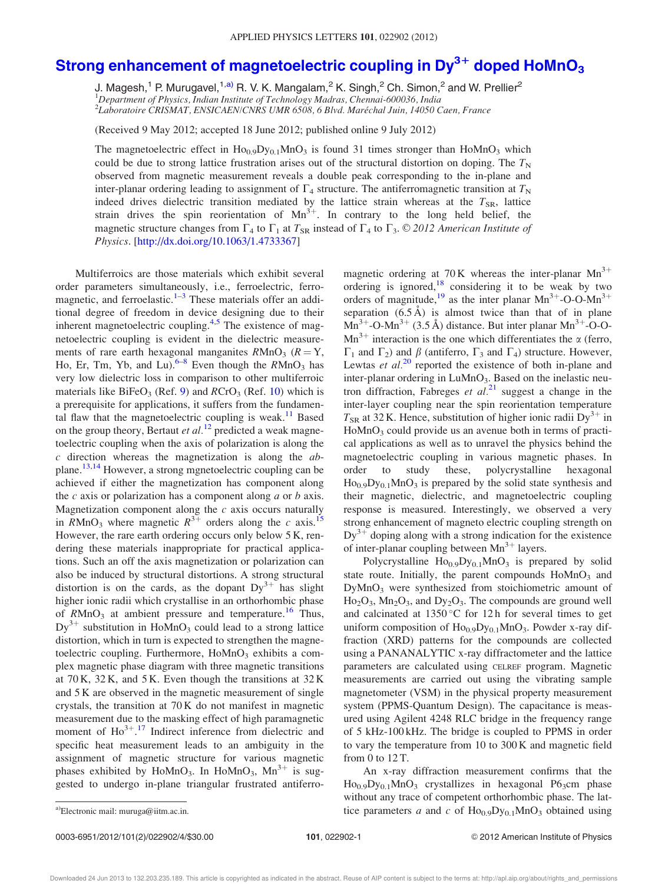## Strong enhancement of magnetoelectric coupling in Dy $^{3+}$  doped HoMnO $_3$

J. Magesh,<sup>1</sup> P. Murugavel,<sup>1,a)</sup> R. V. K. Mangalam,<sup>2</sup> K. Singh,<sup>2</sup> Ch. Simon,<sup>2</sup> and W. Prellier<sup>2</sup> <sup>1</sup>Department of Physics, Indian Institute of Technology Madras, Chennai-600036, India <sup>2</sup>Laboratoire ČRIŠMAT, ENSICAEN/CNRS UMR 6508, 6 Blvd. Maréchal Juin, 14050 Caen, France

(Received 9 May 2012; accepted 18 June 2012; published online 9 July 2012)

The magnetoelectric effect in  $Ho_{0.9}Dy_{0.1}MnO_3$  is found 31 times stronger than  $HoMnO_3$  which could be due to strong lattice frustration arises out of the structural distortion on doping. The  $T<sub>N</sub>$ observed from magnetic measurement reveals a double peak corresponding to the in-plane and inter-planar ordering leading to assignment of  $\Gamma_4$  structure. The antiferromagnetic transition at  $T_N$ indeed drives dielectric transition mediated by the lattice strain whereas at the  $T_{SR}$ , lattice strain drives the spin reorientation of  $Mn^{3+}$ . In contrary to the long held belief, the magnetic structure changes from  $\Gamma_4$  to  $\Gamma_1$  at  $T_{SR}$  instead of  $\Gamma_4$  to  $\Gamma_3$ . © 2012 American Institute of Physics. [http://dx.doi.org/10.1063/1.4733367]

Multiferroics are those materials which exhibit several order parameters simultaneously, i.e., ferroelectric, ferromagnetic, and ferroelastic.<sup>1–3</sup> These materials offer an additional degree of freedom in device designing due to their inherent magnetoelectric coupling.<sup>4,5</sup> The existence of magnetoelectric coupling is evident in the dielectric measurements of rare earth hexagonal manganites  $RMnO<sub>3</sub>$  ( $R = Y$ , Ho, Er, Tm, Yb, and Lu).<sup>6-8</sup> Even though the  $R M n O_3$  has very low dielectric loss in comparison to other multiferroic materials like  $BiFeO<sub>3</sub>$  (Ref. 9) and  $RCrO<sub>3</sub>$  (Ref. 10) which is a prerequisite for applications, it suffers from the fundamental flaw that the magnetoelectric coupling is weak.<sup>11</sup> Based on the group theory, Bertaut et al.<sup>12</sup> predicted a weak magnetoelectric coupling when the axis of polarization is along the  $c$  direction whereas the magnetization is along the  $ab$ plane.<sup>13,14</sup> However, a strong mgnetoelectric coupling can be achieved if either the magnetization has component along the  $c$  axis or polarization has a component along  $a$  or  $b$  axis. Magnetization component along the  $c$  axis occurs naturally in  $\overline{R}$ MnO<sub>3</sub> where magnetic  $\overline{R}^{3+}$  orders along the c axis.<sup>15</sup> However, the rare earth ordering occurs only below 5 K, rendering these materials inappropriate for practical applications. Such an off the axis magnetization or polarization can also be induced by structural distortions. A strong structural distortion is on the cards, as the dopant  $Dy^{3+}$  has slight higher ionic radii which crystallise in an orthorhombic phase of  $R$ MnO<sub>3</sub> at ambient pressure and temperature.<sup>16</sup> Thus,  $Dy^{3+}$  substitution in HoMnO<sub>3</sub> could lead to a strong lattice distortion, which in turn is expected to strengthen the magnetoelectric coupling. Furthermore,  $H \circ MnO_3$  exhibits a complex magnetic phase diagram with three magnetic transitions at  $70K$ ,  $32K$ , and  $5K$ . Even though the transitions at  $32K$ and 5 K are observed in the magnetic measurement of single crystals, the transition at 70 K do not manifest in magnetic measurement due to the masking effect of high paramagnetic moment of  $\text{Ho}^{3+}$ .<sup>17</sup> Indirect inference from dielectric and specific heat measurement leads to an ambiguity in the assignment of magnetic structure for various magnetic phases exhibited by HoMnO<sub>3</sub>. In HoMnO<sub>3</sub>, Mn<sup>3+</sup> is suggested to undergo in-plane triangular frustrated antiferromagnetic ordering at 70 K whereas the inter-planar  $Mn^{3+}$ ordering is ignored, $18$  considering it to be weak by two orders of magnitude,<sup>19</sup> as the inter planar  $Mn^{3+}$ -O-O-M $n^{3+}$ separation  $(6.5 \text{ Å})$  is almost twice than that of in plane  $\text{Mn}^{3+}$ -O-Mn<sup>3+</sup> (3.5 Å) distance. But inter planar Mn<sup>3+</sup>-O-O- $Mn^{3+}$  interaction is the one which differentiates the  $\alpha$  (ferro,  $\Gamma_1$  and  $\Gamma_2$ ) and  $\beta$  (antiferro,  $\Gamma_3$  and  $\Gamma_4$ ) structure. However, Lewtas *et al.*<sup>20</sup> reported the existence of both in-plane and inter-planar ordering in  $LuMnO<sub>3</sub>$ . Based on the inelastic neutron diffraction, Fabreges et  $al.^{21}$  suggest a change in the inter-layer coupling near the spin reorientation temperature  $T_{SR}$  at 32 K. Hence, substitution of higher ionic radii Dy<sup>3+</sup> in HoMnO<sub>3</sub> could provide us an avenue both in terms of practical applications as well as to unravel the physics behind the magnetoelectric coupling in various magnetic phases. In order to study these, polycrystalline hexagonal  $Ho<sub>0.9</sub>Dy<sub>0.1</sub>MnO<sub>3</sub>$  is prepared by the solid state synthesis and their magnetic, dielectric, and magnetoelectric coupling response is measured. Interestingly, we observed a very strong enhancement of magneto electric coupling strength on  $Dy^{3+}$  doping along with a strong indication for the existence of inter-planar coupling between  $Mn^{3+}$  layers.

Polycrystalline  $Ho<sub>0.9</sub>Dy<sub>0.1</sub>MnO<sub>3</sub>$  is prepared by solid state route. Initially, the parent compounds  $H \circ MnO_3$  and DyMnO<sup>3</sup> were synthesized from stoichiometric amount of  $Ho<sub>2</sub>O<sub>3</sub>$ ,  $Mn<sub>2</sub>O<sub>3</sub>$ , and  $Dy<sub>2</sub>O<sub>3</sub>$ . The compounds are ground well and calcinated at  $1350^{\circ}$ C for 12h for several times to get uniform composition of  $Ho<sub>0.9</sub>Dy<sub>0.1</sub>MnO<sub>3</sub>$ . Powder x-ray diffraction (XRD) patterns for the compounds are collected using a PANANALYTIC x-ray diffractometer and the lattice parameters are calculated using CELREF program. Magnetic measurements are carried out using the vibrating sample magnetometer (VSM) in the physical property measurement system (PPMS-Quantum Design). The capacitance is measured using Agilent 4248 RLC bridge in the frequency range of 5 kHz-100 kHz. The bridge is coupled to PPMS in order to vary the temperature from 10 to 300 K and magnetic field from 0 to 12 T.

An x-ray diffraction measurement confirms that the  $Ho_{0.9}Dy_{0.1}MnO_3$  crystallizes in hexagonal P63cm phase without any trace of competent orthorhombic phase. The lata)Electronic mail: muruga@iitm.ac.in.  $\qquad \qquad$  tice parameters a and c of  $Ho_{0.9}Dy_{0.1}MnO_3$  obtained using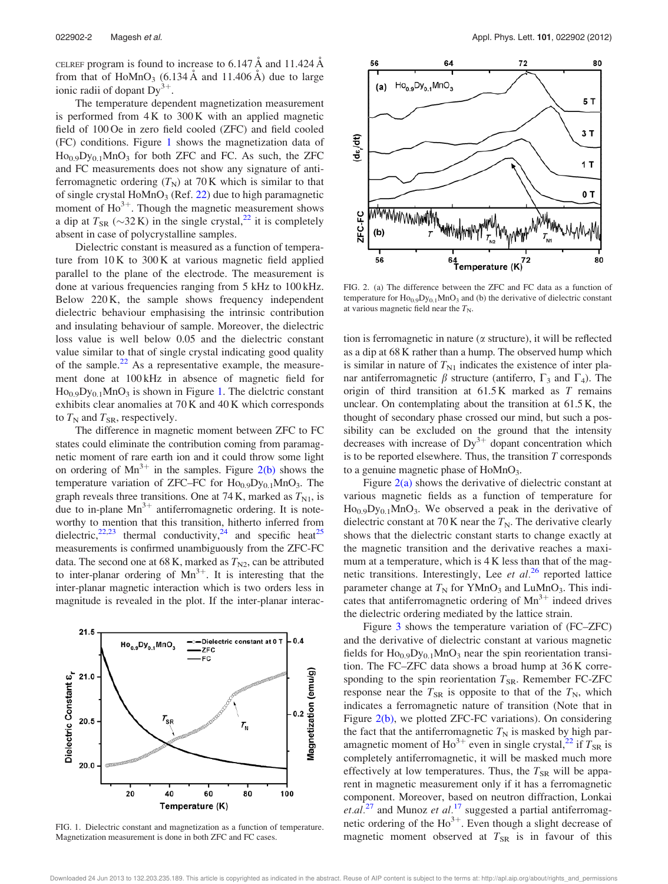CELREF program is found to increase to  $6.147 \text{ Å}$  and  $11.424 \text{ Å}$ from that of  $HoMnO<sub>3</sub>$  (6.134 Å and 11.406 Å) due to large ionic radii of dopant  $Dy^{3+}$ .

The temperature dependent magnetization measurement is performed from  $4K$  to  $300K$  with an applied magnetic field of 100 Oe in zero field cooled (ZFC) and field cooled (FC) conditions. Figure 1 shows the magnetization data of  $Ho<sub>0.9</sub>Dy<sub>0.1</sub>MnO<sub>3</sub>$  for both ZFC and FC. As such, the ZFC and FC measurements does not show any signature of antiferromagnetic ordering  $(T_N)$  at 70 K which is similar to that of single crystal  $Hom_{3}$  (Ref. 22) due to high paramagnetic moment of  $\text{Ho}^{3+}$ . Though the magnetic measurement shows a dip at  $T_{SR}$  ( $\sim$ 32 K) in the single crystal,<sup>22</sup> it is completely absent in case of polycrystalline samples.

Dielectric constant is measured as a function of temperature from 10 K to 300 K at various magnetic field applied parallel to the plane of the electrode. The measurement is done at various frequencies ranging from 5 kHz to 100 kHz. Below 220 K, the sample shows frequency independent dielectric behaviour emphasising the intrinsic contribution and insulating behaviour of sample. Moreover, the dielectric loss value is well below 0.05 and the dielectric constant value similar to that of single crystal indicating good quality of the sample. $^{22}$  As a representative example, the measurement done at 100 kHz in absence of magnetic field for  $Ho<sub>0.9</sub>Dy<sub>0.1</sub>MnO<sub>3</sub>$  is shown in Figure 1. The dielctric constant exhibits clear anomalies at 70 K and 40 K which corresponds to  $T_N$  and  $T_{SR}$ , respectively.

The difference in magnetic moment between ZFC to FC states could eliminate the contribution coming from paramagnetic moment of rare earth ion and it could throw some light on ordering of  $Mn^{3+}$  in the samples. Figure 2(b) shows the temperature variation of ZFC–FC for  $Ho<sub>0.9</sub>Dy<sub>0.1</sub>MnO<sub>3</sub>$ . The graph reveals three transitions. One at 74 K, marked as  $T_{\rm N1}$ , is due to in-plane  $Mn^{3+}$  antiferromagnetic ordering. It is noteworthy to mention that this transition, hitherto inferred from dielectric,<sup>22,23</sup> thermal conductivity,<sup>24</sup> and specific heat<sup>25</sup> measurements is confirmed unambiguously from the ZFC-FC data. The second one at 68 K, marked as  $T_{N2}$ , can be attributed to inter-planar ordering of  $Mn^{3+}$ . It is interesting that the inter-planar magnetic interaction which is two orders less in magnitude is revealed in the plot. If the inter-planar interac-



FIG. 1. Dielectric constant and magnetization as a function of temperature. Magnetization measurement is done in both ZFC and FC cases.



FIG. 2. (a) The difference between the ZFC and FC data as a function of temperature for  $Ho_{0.9}Dy_{0.1}MnO_3$  and (b) the derivative of dielectric constant at various magnetic field near the  $T_N$ .

tion is ferromagnetic in nature  $(\alpha$  structure), it will be reflected as a dip at 68 K rather than a hump. The observed hump which is similar in nature of  $T_{\text{N1}}$  indicates the existence of inter planar antiferromagnetic  $\beta$  structure (antiferro,  $\Gamma_3$  and  $\Gamma_4$ ). The origin of third transition at  $61.5 K$  marked as  $T$  remains unclear. On contemplating about the transition at 61.5 K, the thought of secondary phase crossed our mind, but such a possibility can be excluded on the ground that the intensity decreases with increase of  $Dy^{3+}$  dopant concentration which is to be reported elsewhere. Thus, the transition  $T$  corresponds to a genuine magnetic phase of  $HoMnO<sub>3</sub>$ .

Figure  $2(a)$  shows the derivative of dielectric constant at various magnetic fields as a function of temperature for  $Ho_{0.9}Dy_{0.1}MnO_3$ . We observed a peak in the derivative of dielectric constant at 70 K near the  $T_N$ . The derivative clearly shows that the dielectric constant starts to change exactly at the magnetic transition and the derivative reaches a maximum at a temperature, which is 4 K less than that of the magnetic transitions. Interestingly, Lee et  $al.^{26}$  reported lattice parameter change at  $T_N$  for YMnO<sub>3</sub> and LuMnO<sub>3</sub>. This indicates that antiferromagnetic ordering of  $Mn^{3+}$  indeed drives the dielectric ordering mediated by the lattice strain.

Figure 3 shows the temperature variation of (FC–ZFC) and the derivative of dielectric constant at various magnetic fields for  $\text{Ho}_{0.9}\text{Dy}_{0.1}\text{MnO}_3$  near the spin reorientation transition. The FC–ZFC data shows a broad hump at 36 K corresponding to the spin reorientation  $T_{SR}$ . Remember FC-ZFC response near the  $T_{SR}$  is opposite to that of the  $T_N$ , which indicates a ferromagnetic nature of transition (Note that in Figure 2(b), we plotted ZFC-FC variations). On considering the fact that the antiferromagnetic  $T_N$  is masked by high paramagnetic moment of  $\text{Ho}^{3+}$  even in single crystal,<sup>22</sup> if  $T_{\text{SR}}$  is completely antiferromagnetic, it will be masked much more effectively at low temperatures. Thus, the  $T_{SR}$  will be apparent in magnetic measurement only if it has a ferromagnetic component. Moreover, based on neutron diffraction, Lonkai et.al.<sup>27</sup> and Munoz et al.<sup>17</sup> suggested a partial antiferromagnetic ordering of the  $Ho^{3+}$ . Even though a slight decrease of magnetic moment observed at  $T_{SR}$  is in favour of this

Downloaded 24 Jun 2013 to 132.203.235.189. This article is copyrighted as indicated in the abstract. Reuse of AIP content is subject to the terms at: http://apl.aip.org/about/rights\_and\_permissions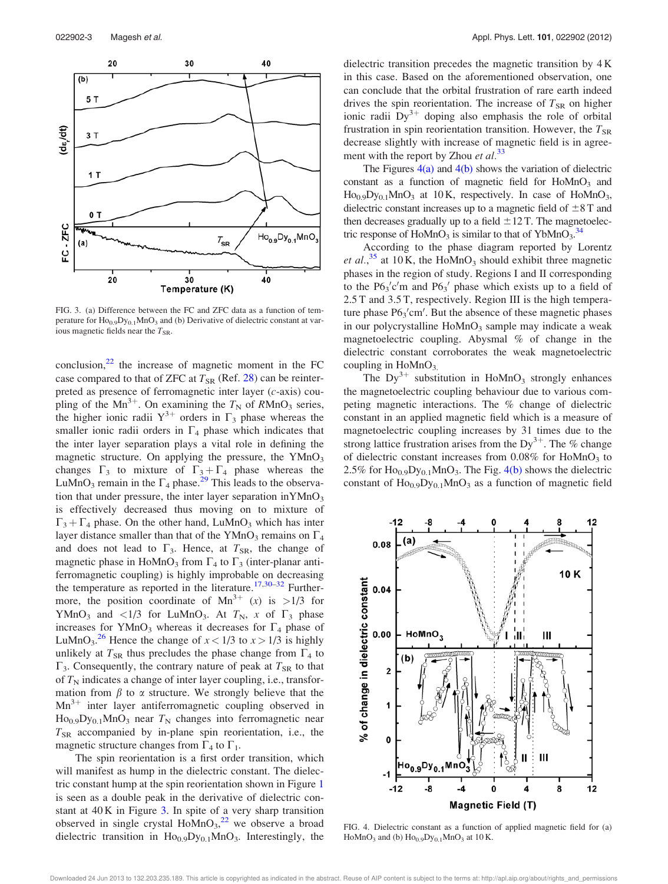

FIG. 3. (a) Difference between the FC and ZFC data as a function of temperature for  $Ho<sub>0.9</sub>Dy<sub>0.1</sub>MnO<sub>3</sub>$  and (b) Derivative of dielectric constant at various magnetic fields near the  $T_{SR}$ .

conclusion, $^{22}$  the increase of magnetic moment in the FC case compared to that of ZFC at  $T_{SR}$  (Ref. 28) can be reinterpreted as presence of ferromagnetic inter layer (c-axis) coupling of the Mn<sup>3+</sup>. On examining the  $T_N$  of RMnO<sub>3</sub> series, the higher ionic radii  $Y^{3+}$  orders in  $\Gamma_3$  phase whereas the smaller ionic radii orders in  $\Gamma_4$  phase which indicates that the inter layer separation plays a vital role in defining the magnetic structure. On applying the pressure, the  $YMnO<sub>3</sub>$ changes  $\Gamma_3$  to mixture of  $\Gamma_3 + \Gamma_4$  phase whereas the LuMnO<sub>3</sub> remain in the  $\Gamma_4$  phase.<sup>29</sup> This leads to the observation that under pressure, the inter layer separation in $YMnO<sub>3</sub>$ is effectively decreased thus moving on to mixture of  $\Gamma_3 + \Gamma_4$  phase. On the other hand, LuMnO<sub>3</sub> which has inter layer distance smaller than that of the YMnO<sub>3</sub> remains on  $\Gamma_4$ and does not lead to  $\Gamma_3$ . Hence, at  $T_{SR}$ , the change of magnetic phase in HoMnO<sub>3</sub> from  $\Gamma_4$  to  $\Gamma_3$  (inter-planar antiferromagnetic coupling) is highly improbable on decreasing the temperature as reported in the literature.<sup>17,30–32</sup> Furthermore, the position coordinate of  $Mn^{3+}$  (x) is >1/3 for YMnO<sub>3</sub> and <1/3 for LuMnO<sub>3</sub>. At  $T_N$ , x of  $\Gamma_3$  phase increases for YMnO<sub>3</sub> whereas it decreases for  $\Gamma_4$  phase of LuMnO<sub>3</sub><sup>26</sup> Hence the change of  $x < 1/3$  to  $x > 1/3$  is highly unlikely at  $T_{SR}$  thus precludes the phase change from  $\Gamma_4$  to  $\Gamma_3$ . Consequently, the contrary nature of peak at  $T_{SR}$  to that of  $T_N$  indicates a change of inter layer coupling, i.e., transformation from  $\beta$  to  $\alpha$  structure. We strongly believe that the  $Mn^{3+}$  inter layer antiferromagnetic coupling observed in  $Ho<sub>0.9</sub>Dy<sub>0.1</sub>MnO<sub>3</sub>$  near  $T_N$  changes into ferromagnetic near  $T_{SR}$  accompanied by in-plane spin reorientation, i.e., the magnetic structure changes from  $\Gamma_4$  to  $\Gamma_1$ .

The spin reorientation is a first order transition, which will manifest as hump in the dielectric constant. The dielectric constant hump at the spin reorientation shown in Figure 1 is seen as a double peak in the derivative of dielectric constant at 40 K in Figure 3. In spite of a very sharp transition observed in single crystal  $Hom_{3}^{22}$  we observe a broad dielectric transition in  $Ho<sub>0.9</sub>Dy<sub>0.1</sub>MnO<sub>3</sub>$ . Interestingly, the dielectric transition precedes the magnetic transition by 4 K in this case. Based on the aforementioned observation, one can conclude that the orbital frustration of rare earth indeed drives the spin reorientation. The increase of  $T_{SR}$  on higher ionic radii  $Dy^{3+}$  doping also emphasis the role of orbital frustration in spin reorientation transition. However, the  $T_{SR}$ decrease slightly with increase of magnetic field is in agreement with the report by Zhou et  $al.^{33}$ 

The Figures  $4(a)$  and  $4(b)$  shows the variation of dielectric constant as a function of magnetic field for  $H \circ MnO_3$  and  $Ho<sub>0.9</sub>Dy<sub>0.1</sub>MnO<sub>3</sub>$  at 10 K, respectively. In case of HoMnO<sub>3</sub>, dielectric constant increases up to a magnetic field of  $\pm 8$  T and then decreases gradually up to a field  $\pm 12$  T. The magnetoelectric response of  $HoMnO<sub>3</sub>$  is similar to that of YbMnO<sub>3</sub>.<sup>34</sup>

According to the phase diagram reported by Lorentz et al.,<sup>35</sup> at 10 K, the HoMnO<sub>3</sub> should exhibit three magnetic phases in the region of study. Regions I and II corresponding to the  $P6_3'c'm$  and  $P6_3'$  phase which exists up to a field of 2.5 T and 3.5 T, respectively. Region III is the high temperature phase  $P6_3'$ cm'. But the absence of these magnetic phases in our polycrystalline  $H \circ MnO_3$  sample may indicate a weak magnetoelectric coupling. Abysmal % of change in the dielectric constant corroborates the weak magnetoelectric coupling in  $H\text{oMnO}_3$ .

The  $Dy^{3+}$  substitution in HoMnO<sub>3</sub> strongly enhances the magnetoelectric coupling behaviour due to various competing magnetic interactions. The % change of dielectric constant in an applied magnetic field which is a measure of magnetoelectric coupling increases by 31 times due to the strong lattice frustration arises from the Dy<sup>3+</sup>. The % change of dielectric constant increases from  $0.08\%$  for HoMnO<sub>3</sub> to 2.5% for  $\text{Ho}_{0.9}\text{Dy}_{0.1}\text{MnO}_3$ . The Fig. 4(b) shows the dielectric constant of  $Ho_{0.9}Dy_{0.1}MnO_3$  as a function of magnetic field



FIG. 4. Dielectric constant as a function of applied magnetic field for (a) HoMnO<sub>3</sub> and (b)  $\text{Ho}_{0.9}\text{Dy}_{0.1}\text{MnO}_3$  at 10 K.